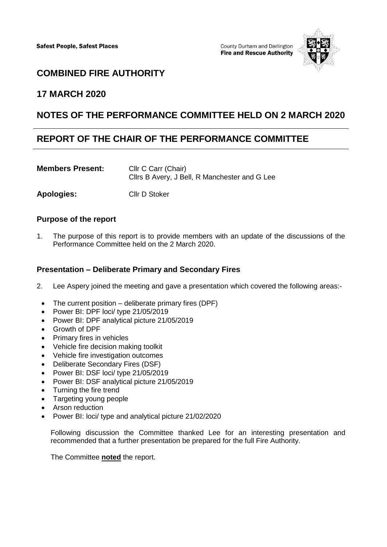County Durham and Darlington **Fire and Rescue Authority** 



# **COMBINED FIRE AUTHORITY**

## **17 MARCH 2020**

## **NOTES OF THE PERFORMANCE COMMITTEE HELD ON 2 MARCH 2020**

## **REPORT OF THE CHAIR OF THE PERFORMANCE COMMITTEE**

| <b>Members Present:</b> | Cllr C Carr (Chair)                           |
|-------------------------|-----------------------------------------------|
|                         | Clirs B Avery, J Bell, R Manchester and G Lee |
|                         |                                               |

**Apologies:** Cllr D Stoker

### **Purpose of the report**

1. The purpose of this report is to provide members with an update of the discussions of the Performance Committee held on the 2 March 2020.

#### **Presentation – Deliberate Primary and Secondary Fires**

- 2. Lee Aspery joined the meeting and gave a presentation which covered the following areas:-
	- $\bullet$  The current position deliberate primary fires (DPF)
	- Power BI: DPF loci/ type 21/05/2019
	- Power BI: DPF analytical picture 21/05/2019
	- Growth of DPF
	- Primary fires in vehicles
	- Vehicle fire decision making toolkit
	- Vehicle fire investigation outcomes
	- Deliberate Secondary Fires (DSF)
	- Power BI: DSF loci/ type 21/05/2019
	- Power BI: DSF analytical picture 21/05/2019
	- Turning the fire trend
	- Targeting young people
	- Arson reduction
	- Power BI: loci/ type and analytical picture 21/02/2020

Following discussion the Committee thanked Lee for an interesting presentation and recommended that a further presentation be prepared for the full Fire Authority.

The Committee **noted** the report.